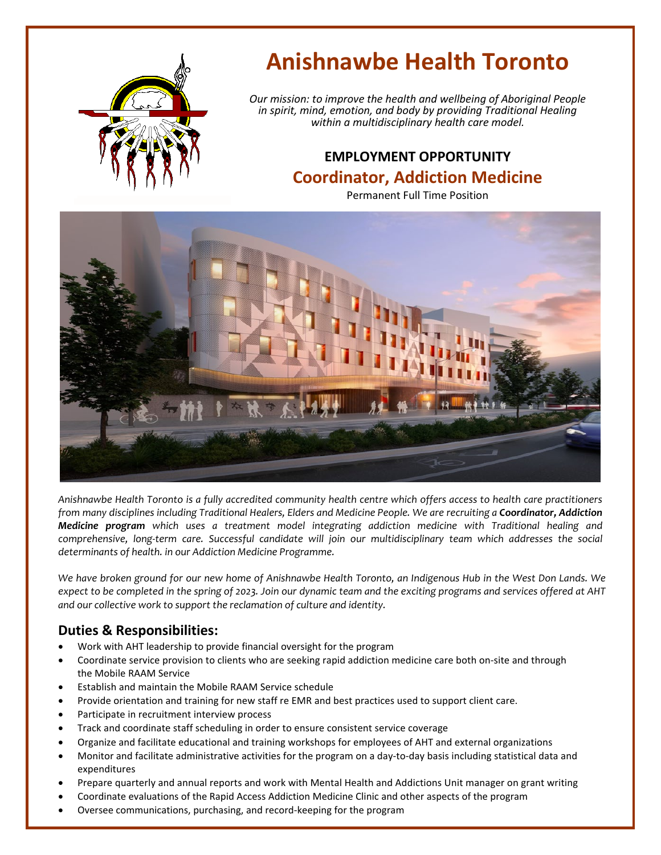

# **Anishnawbe Health Toronto**

*Our mission: to improve the health and wellbeing of Aboriginal People in spirit, mind, emotion, and body by providing Traditional Healing within a multidisciplinary health care model.*

# **EMPLOYMENT OPPORTUNITY Coordinator, Addiction Medicine**

Permanent Full Time Position



*Anishnawbe Health Toronto is a fully accredited community health centre which offers access to health care practitioners from many disciplines including Traditional Healers, Elders and Medicine People. We are recruiting a Coordinator, Addiction Medicine program which uses a treatment model integrating addiction medicine with Traditional healing and comprehensive, long-term care. Successful candidate will join our multidisciplinary team which addresses the social determinants of health. in our Addiction Medicine Programme.* 

*We have broken ground for our new home of Anishnawbe Health Toronto, an Indigenous Hub in the West Don Lands. We expect to be completed in the spring of 2023. Join our dynamic team and the exciting programs and services offered at AHT and our collective work to support the reclamation of culture and identity.*

## **Duties & Responsibilities:**

- Work with AHT leadership to provide financial oversight for the program
- Coordinate service provision to clients who are seeking rapid addiction medicine care both on-site and through the Mobile RAAM Service
- Establish and maintain the Mobile RAAM Service schedule
- Provide orientation and training for new staff re EMR and best practices used to support client care.
- Participate in recruitment interview process
- Track and coordinate staff scheduling in order to ensure consistent service coverage
- Organize and facilitate educational and training workshops for employees of AHT and external organizations
- Monitor and facilitate administrative activities for the program on a day-to-day basis including statistical data and expenditures
- Prepare quarterly and annual reports and work with Mental Health and Addictions Unit manager on grant writing
- Coordinate evaluations of the Rapid Access Addiction Medicine Clinic and other aspects of the program
- Oversee communications, purchasing, and record-keeping for the program